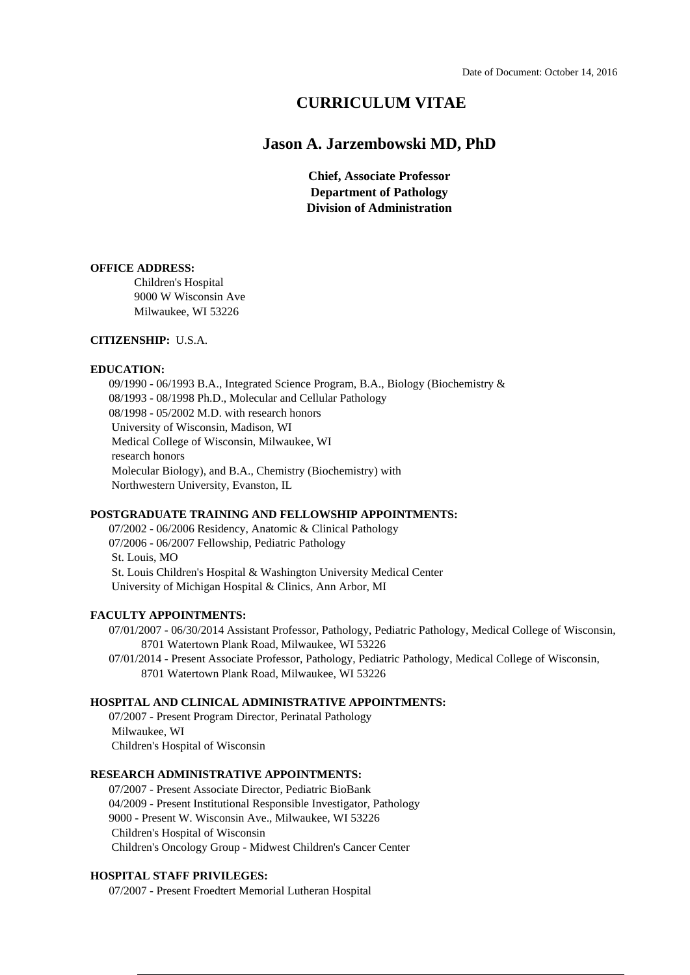# **CURRICULUM VITAE**

# **Jason A. Jarzembowski MD, PhD**

**Chief, Associate Professor Department of Pathology Division of Administration**

# **OFFICE ADDRESS:**

Children's Hospital 9000 W Wisconsin Ave Milwaukee, WI 53226

# **CITIZENSHIP:** U.S.A.

#### **EDUCATION:**

09/1990 - 06/1993 B.A., Integrated Science Program, B.A., Biology (Biochemistry & 08/1993 - 08/1998 Ph.D., Molecular and Cellular Pathology 08/1998 - 05/2002 M.D. with research honors University of Wisconsin, Madison, WI Medical College of Wisconsin, Milwaukee, WI research honors Molecular Biology), and B.A., Chemistry (Biochemistry) with Northwestern University, Evanston, IL

# **POSTGRADUATE TRAINING AND FELLOWSHIP APPOINTMENTS:**

07/2002 - 06/2006 Residency, Anatomic & Clinical Pathology 07/2006 - 06/2007 Fellowship, Pediatric Pathology St. Louis, MO St. Louis Children's Hospital & Washington University Medical Center University of Michigan Hospital & Clinics, Ann Arbor, MI

# **FACULTY APPOINTMENTS:**

07/01/2007 - 06/30/2014 Assistant Professor, Pathology, Pediatric Pathology, Medical College of Wisconsin, 8701 Watertown Plank Road, Milwaukee, WI 53226

07/01/2014 - Present Associate Professor, Pathology, Pediatric Pathology, Medical College of Wisconsin, 8701 Watertown Plank Road, Milwaukee, WI 53226

# **HOSPITAL AND CLINICAL ADMINISTRATIVE APPOINTMENTS:**

07/2007 - Present Program Director, Perinatal Pathology Milwaukee, WI Children's Hospital of Wisconsin

## **RESEARCH ADMINISTRATIVE APPOINTMENTS:**

07/2007 - Present Associate Director, Pediatric BioBank 04/2009 - Present Institutional Responsible Investigator, Pathology 9000 - Present W. Wisconsin Ave., Milwaukee, WI 53226 Children's Hospital of Wisconsin Children's Oncology Group - Midwest Children's Cancer Center

#### **HOSPITAL STAFF PRIVILEGES:**

07/2007 - Present Froedtert Memorial Lutheran Hospital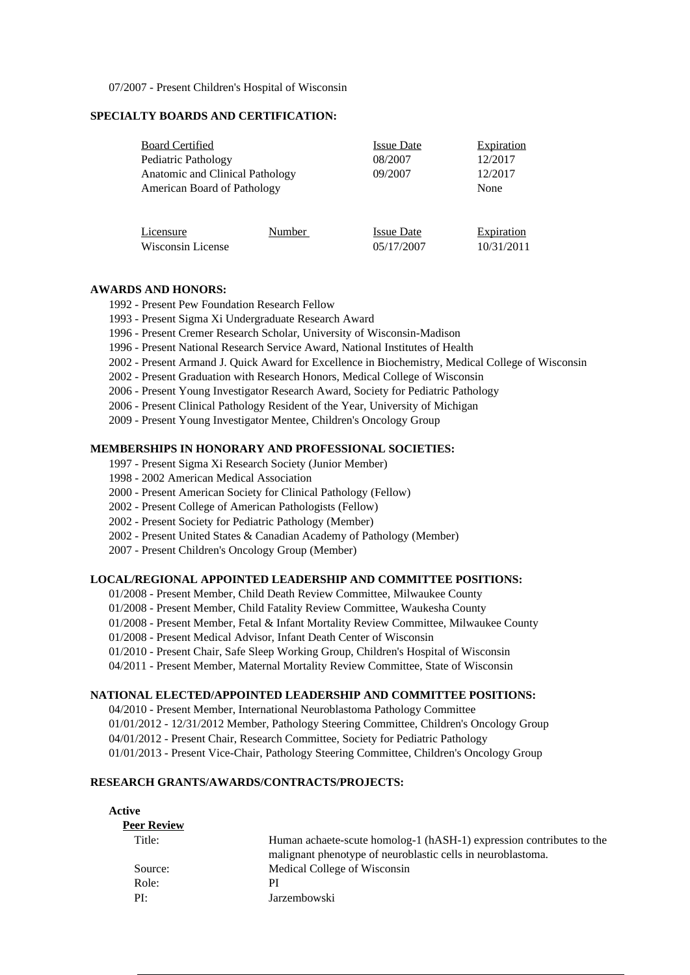07/2007 - Present Children's Hospital of Wisconsin

# **SPECIALTY BOARDS AND CERTIFICATION:**

| <b>Board Certified</b>          |        | <b>Issue Date</b>               | <b>Expiration</b>        |
|---------------------------------|--------|---------------------------------|--------------------------|
| Pediatric Pathology             |        | 08/2007                         | 12/2017                  |
| Anatomic and Clinical Pathology |        | 09/2007                         | 12/2017                  |
| American Board of Pathology     |        |                                 | None                     |
|                                 |        |                                 |                          |
| Licensure<br>Wisconsin License  | Number | <b>Issue Date</b><br>05/17/2007 | Expiration<br>10/31/2011 |

# **AWARDS AND HONORS:**

- 1992 Present Pew Foundation Research Fellow
- 1993 Present Sigma Xi Undergraduate Research Award
- 1996 Present Cremer Research Scholar, University of Wisconsin-Madison
- 1996 Present National Research Service Award, National Institutes of Health
- 2002 Present Armand J. Quick Award for Excellence in Biochemistry, Medical College of Wisconsin
- 2002 Present Graduation with Research Honors, Medical College of Wisconsin
- 2006 Present Young Investigator Research Award, Society for Pediatric Pathology
- 2006 Present Clinical Pathology Resident of the Year, University of Michigan
- 2009 Present Young Investigator Mentee, Children's Oncology Group

## **MEMBERSHIPS IN HONORARY AND PROFESSIONAL SOCIETIES:**

- 1997 Present Sigma Xi Research Society (Junior Member)
- 1998 2002 American Medical Association
- 2000 Present American Society for Clinical Pathology (Fellow)
- 2002 Present College of American Pathologists (Fellow)
- 2002 Present Society for Pediatric Pathology (Member)
- 2002 Present United States & Canadian Academy of Pathology (Member)
- 2007 Present Children's Oncology Group (Member)

# **LOCAL/REGIONAL APPOINTED LEADERSHIP AND COMMITTEE POSITIONS:**

- 01/2008 Present Member, Child Death Review Committee, Milwaukee County
- 01/2008 Present Member, Child Fatality Review Committee, Waukesha County
- 01/2008 Present Member, Fetal & Infant Mortality Review Committee, Milwaukee County
- 01/2008 Present Medical Advisor, Infant Death Center of Wisconsin
- 01/2010 Present Chair, Safe Sleep Working Group, Children's Hospital of Wisconsin
- 04/2011 Present Member, Maternal Mortality Review Committee, State of Wisconsin

# **NATIONAL ELECTED/APPOINTED LEADERSHIP AND COMMITTEE POSITIONS:**

04/2010 - Present Member, International Neuroblastoma Pathology Committee

01/01/2012 - 12/31/2012 Member, Pathology Steering Committee, Children's Oncology Group

04/01/2012 - Present Chair, Research Committee, Society for Pediatric Pathology

01/01/2013 - Present Vice-Chair, Pathology Steering Committee, Children's Oncology Group

# **RESEARCH GRANTS/AWARDS/CONTRACTS/PROJECTS:**

| Active             |                                                                                                                                     |
|--------------------|-------------------------------------------------------------------------------------------------------------------------------------|
| <b>Peer Review</b> |                                                                                                                                     |
| Title:             | Human achaete-scute homolog-1 (hASH-1) expression contributes to the<br>malignant phenotype of neuroblastic cells in neuroblastoma. |
| Source:            | Medical College of Wisconsin                                                                                                        |
| Role:              | PI                                                                                                                                  |
| PI:                | Jarzembowski                                                                                                                        |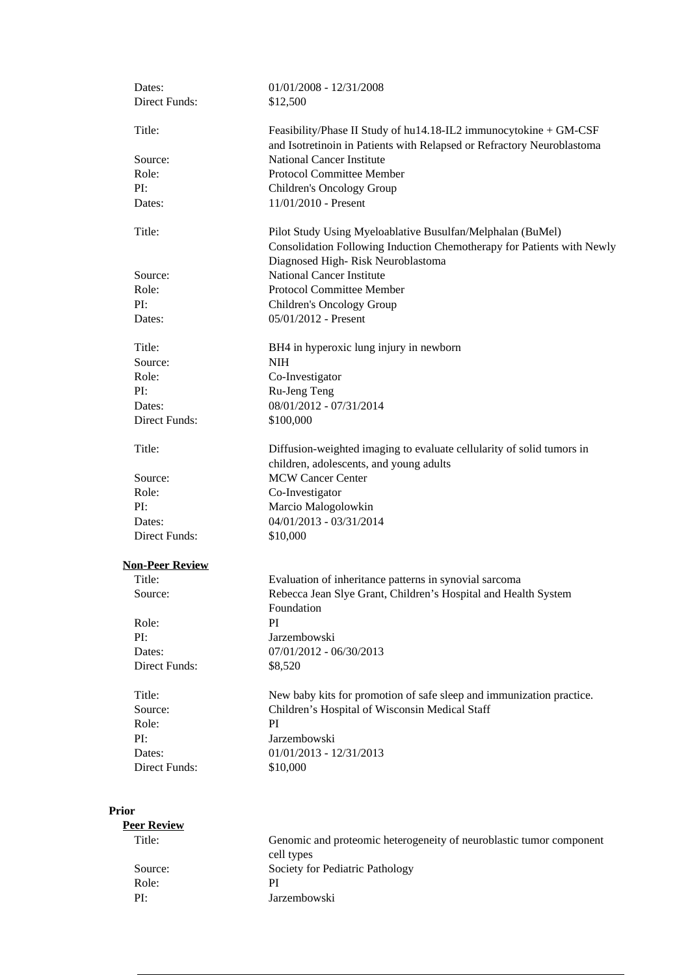| Dates:<br>Direct Funds: | $01/01/2008 - 12/31/2008$<br>\$12,500                                                                                                                                     |
|-------------------------|---------------------------------------------------------------------------------------------------------------------------------------------------------------------------|
| Title:                  | Feasibility/Phase II Study of hu14.18-IL2 immunocytokine + GM-CSF<br>and Isotretinoin in Patients with Relapsed or Refractory Neuroblastoma                               |
| Source:                 | <b>National Cancer Institute</b>                                                                                                                                          |
| Role:                   | <b>Protocol Committee Member</b>                                                                                                                                          |
| PI:                     | Children's Oncology Group                                                                                                                                                 |
| Dates:                  | 11/01/2010 - Present                                                                                                                                                      |
| Title:                  | Pilot Study Using Myeloablative Busulfan/Melphalan (BuMel)<br>Consolidation Following Induction Chemotherapy for Patients with Newly<br>Diagnosed High-Risk Neuroblastoma |
| Source:                 | <b>National Cancer Institute</b>                                                                                                                                          |
| Role:                   | <b>Protocol Committee Member</b>                                                                                                                                          |
| PI:                     | Children's Oncology Group                                                                                                                                                 |
| Dates:                  | 05/01/2012 - Present                                                                                                                                                      |
| Title:                  | BH4 in hyperoxic lung injury in newborn                                                                                                                                   |
| Source:                 | <b>NIH</b>                                                                                                                                                                |
| Role:                   | Co-Investigator                                                                                                                                                           |
| PI:                     | Ru-Jeng Teng                                                                                                                                                              |
| Dates:                  | 08/01/2012 - 07/31/2014                                                                                                                                                   |
| Direct Funds:           | \$100,000                                                                                                                                                                 |
| Title:                  | Diffusion-weighted imaging to evaluate cellularity of solid tumors in<br>children, adolescents, and young adults                                                          |
| Source:                 | <b>MCW Cancer Center</b>                                                                                                                                                  |
| Role:                   | Co-Investigator                                                                                                                                                           |
| PI:                     | Marcio Malogolowkin                                                                                                                                                       |
| Dates:                  | 04/01/2013 - 03/31/2014                                                                                                                                                   |
| Direct Funds:           | \$10,000                                                                                                                                                                  |
| <b>Non-Peer Review</b>  |                                                                                                                                                                           |
| Title:                  | Evaluation of inheritance patterns in synovial sarcoma                                                                                                                    |
| Source:                 | Rebecca Jean Slye Grant, Children's Hospital and Health System<br>Foundation                                                                                              |
| Role:                   | PI                                                                                                                                                                        |
| PI:                     | Jarzembowski                                                                                                                                                              |
| Dates:                  | 07/01/2012 - 06/30/2013                                                                                                                                                   |
| Direct Funds:           | \$8,520                                                                                                                                                                   |
| Title:                  | New baby kits for promotion of safe sleep and immunization practice.                                                                                                      |
| Source:                 | Children's Hospital of Wisconsin Medical Staff                                                                                                                            |
| Role:                   | PI                                                                                                                                                                        |
| PI:                     | Jarzembowski                                                                                                                                                              |
| Dates:                  | $01/01/2013 - 12/31/2013$                                                                                                                                                 |
| Direct Funds:           | \$10,000                                                                                                                                                                  |
| <b>Prior</b>            |                                                                                                                                                                           |

| Genomic and proteomic heterogeneity of neuroblastic tumor component |
|---------------------------------------------------------------------|
|                                                                     |
|                                                                     |
|                                                                     |
|                                                                     |
|                                                                     |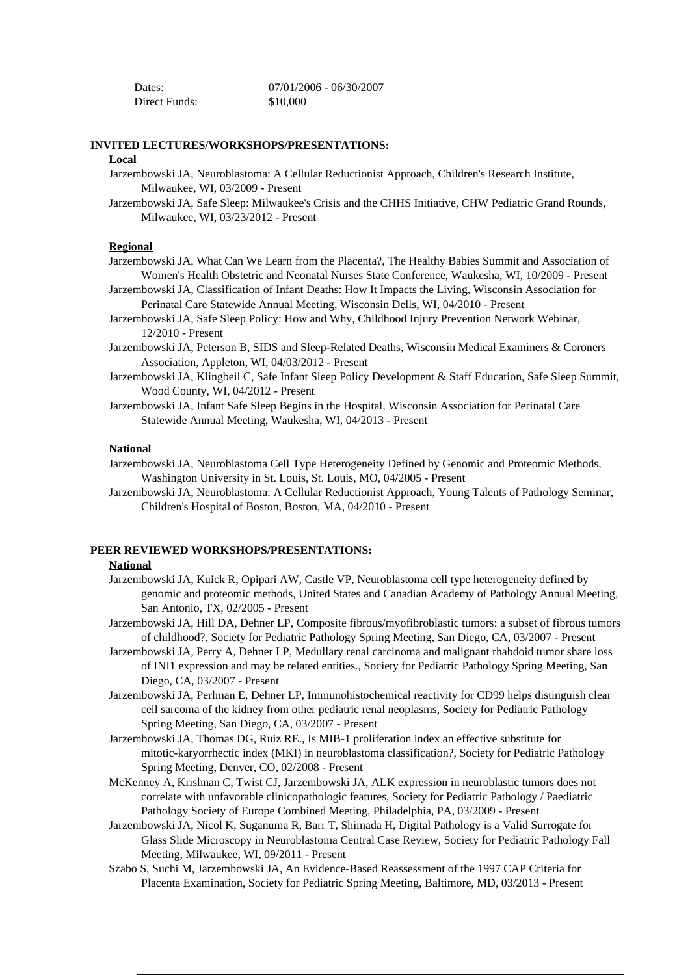| Dates:        | 07/01/2006 - 06/30/2007 |
|---------------|-------------------------|
| Direct Funds: | \$10,000                |

### **INVITED LECTURES/WORKSHOPS/PRESENTATIONS:**

# **Local**

- Jarzembowski JA, Neuroblastoma: A Cellular Reductionist Approach, Children's Research Institute, Milwaukee, WI, 03/2009 - Present
- Jarzembowski JA, Safe Sleep: Milwaukee's Crisis and the CHHS Initiative, CHW Pediatric Grand Rounds, Milwaukee, WI, 03/23/2012 - Present

# **Regional**

- Jarzembowski JA, What Can We Learn from the Placenta?, The Healthy Babies Summit and Association of Women's Health Obstetric and Neonatal Nurses State Conference, Waukesha, WI, 10/2009 - Present
- Jarzembowski JA, Classification of Infant Deaths: How It Impacts the Living, Wisconsin Association for Perinatal Care Statewide Annual Meeting, Wisconsin Dells, WI, 04/2010 - Present
- Jarzembowski JA, Safe Sleep Policy: How and Why, Childhood Injury Prevention Network Webinar, 12/2010 - Present
- Jarzembowski JA, Peterson B, SIDS and Sleep-Related Deaths, Wisconsin Medical Examiners & Coroners Association, Appleton, WI, 04/03/2012 - Present
- Jarzembowski JA, Klingbeil C, Safe Infant Sleep Policy Development & Staff Education, Safe Sleep Summit, Wood County, WI, 04/2012 - Present
- Jarzembowski JA, Infant Safe Sleep Begins in the Hospital, Wisconsin Association for Perinatal Care Statewide Annual Meeting, Waukesha, WI, 04/2013 - Present

# **National**

- Jarzembowski JA, Neuroblastoma Cell Type Heterogeneity Defined by Genomic and Proteomic Methods, Washington University in St. Louis, St. Louis, MO, 04/2005 - Present
- Jarzembowski JA, Neuroblastoma: A Cellular Reductionist Approach, Young Talents of Pathology Seminar, Children's Hospital of Boston, Boston, MA, 04/2010 - Present

### **PEER REVIEWED WORKSHOPS/PRESENTATIONS:**

#### **National**

- Jarzembowski JA, Kuick R, Opipari AW, Castle VP, Neuroblastoma cell type heterogeneity defined by genomic and proteomic methods, United States and Canadian Academy of Pathology Annual Meeting, San Antonio, TX, 02/2005 - Present
- Jarzembowski JA, Hill DA, Dehner LP, Composite fibrous/myofibroblastic tumors: a subset of fibrous tumors of childhood?, Society for Pediatric Pathology Spring Meeting, San Diego, CA, 03/2007 - Present
- Jarzembowski JA, Perry A, Dehner LP, Medullary renal carcinoma and malignant rhabdoid tumor share loss of INI1 expression and may be related entities., Society for Pediatric Pathology Spring Meeting, San Diego, CA, 03/2007 - Present
- Jarzembowski JA, Perlman E, Dehner LP, Immunohistochemical reactivity for CD99 helps distinguish clear cell sarcoma of the kidney from other pediatric renal neoplasms, Society for Pediatric Pathology Spring Meeting, San Diego, CA, 03/2007 - Present
- Jarzembowski JA, Thomas DG, Ruiz RE., Is MIB-1 proliferation index an effective substitute for mitotic-karyorrhectic index (MKI) in neuroblastoma classification?, Society for Pediatric Pathology Spring Meeting, Denver, CO, 02/2008 - Present
- McKenney A, Krishnan C, Twist CJ, Jarzembowski JA, ALK expression in neuroblastic tumors does not correlate with unfavorable clinicopathologic features, Society for Pediatric Pathology / Paediatric Pathology Society of Europe Combined Meeting, Philadelphia, PA, 03/2009 - Present
- Jarzembowski JA, Nicol K, Suganuma R, Barr T, Shimada H, Digital Pathology is a Valid Surrogate for Glass Slide Microscopy in Neuroblastoma Central Case Review, Society for Pediatric Pathology Fall Meeting, Milwaukee, WI, 09/2011 - Present
- Szabo S, Suchi M, Jarzembowski JA, An Evidence-Based Reassessment of the 1997 CAP Criteria for Placenta Examination, Society for Pediatric Spring Meeting, Baltimore, MD, 03/2013 - Present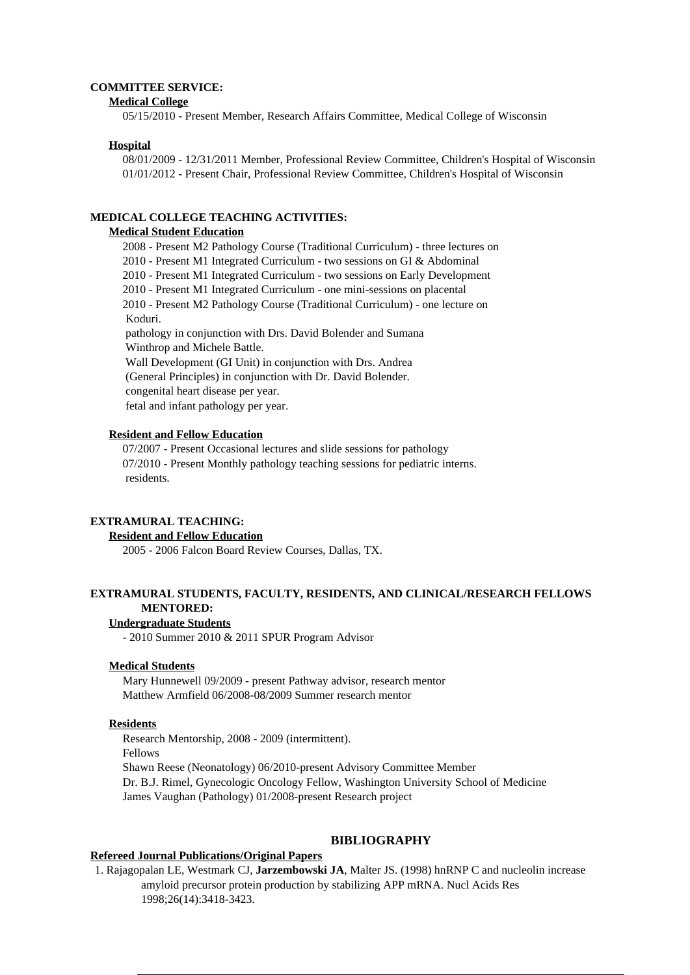#### **COMMITTEE SERVICE:**

#### **Medical College**

05/15/2010 - Present Member, Research Affairs Committee, Medical College of Wisconsin

### **Hospital**

08/01/2009 - 12/31/2011 Member, Professional Review Committee, Children's Hospital of Wisconsin 01/01/2012 - Present Chair, Professional Review Committee, Children's Hospital of Wisconsin

#### **MEDICAL COLLEGE TEACHING ACTIVITIES:**

#### **Medical Student Education**

2008 - Present M2 Pathology Course (Traditional Curriculum) - three lectures on 2010 - Present M1 Integrated Curriculum - two sessions on GI & Abdominal 2010 - Present M1 Integrated Curriculum - two sessions on Early Development 2010 - Present M1 Integrated Curriculum - one mini-sessions on placental 2010 - Present M2 Pathology Course (Traditional Curriculum) - one lecture on Koduri. pathology in conjunction with Drs. David Bolender and Sumana Winthrop and Michele Battle. Wall Development (GI Unit) in conjunction with Drs. Andrea (General Principles) in conjunction with Dr. David Bolender. congenital heart disease per year. fetal and infant pathology per year.

### **Resident and Fellow Education**

07/2007 - Present Occasional lectures and slide sessions for pathology 07/2010 - Present Monthly pathology teaching sessions for pediatric interns. residents.

# **EXTRAMURAL TEACHING:**

### **Resident and Fellow Education**

2005 - 2006 Falcon Board Review Courses, Dallas, TX.

# **EXTRAMURAL STUDENTS, FACULTY, RESIDENTS, AND CLINICAL/RESEARCH FELLOWS MENTORED:**

#### **Undergraduate Students**

- 2010 Summer 2010 & 2011 SPUR Program Advisor

#### **Medical Students**

Mary Hunnewell 09/2009 - present Pathway advisor, research mentor Matthew Armfield 06/2008-08/2009 Summer research mentor

## **Residents**

Research Mentorship, 2008 - 2009 (intermittent). Fellows Shawn Reese (Neonatology) 06/2010-present Advisory Committee Member Dr. B.J. Rimel, Gynecologic Oncology Fellow, Washington University School of Medicine James Vaughan (Pathology) 01/2008-present Research project

#### **BIBLIOGRAPHY**

# **Refereed Journal Publications/Original Papers**

1. Rajagopalan LE, Westmark CJ, **Jarzembowski JA**, Malter JS. (1998) hnRNP C and nucleolin increase amyloid precursor protein production by stabilizing APP mRNA. Nucl Acids Res 1998;26(14):3418-3423.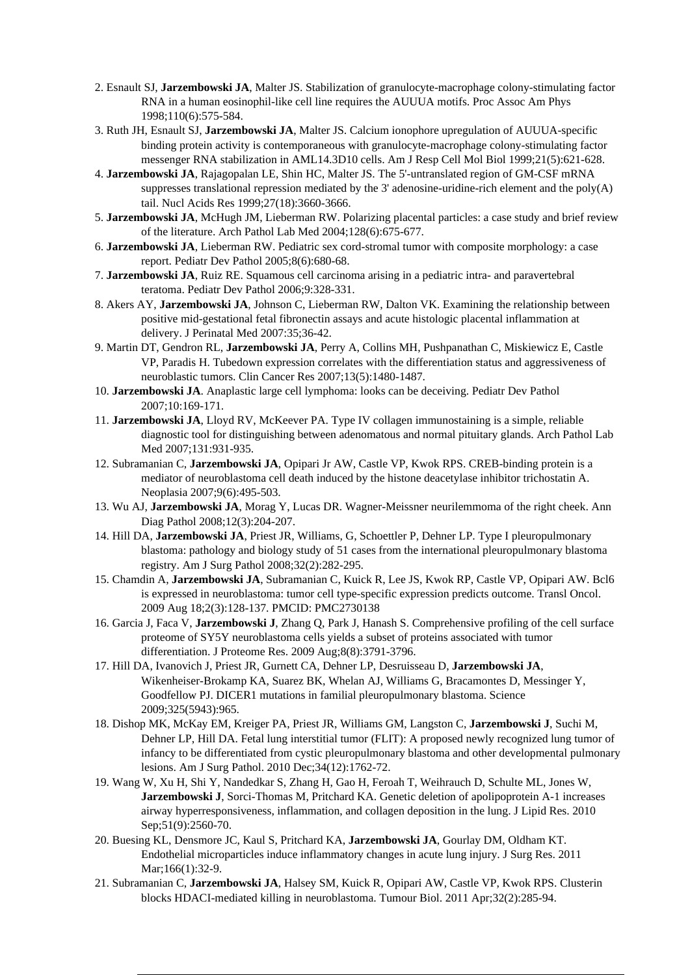- 2. Esnault SJ, **Jarzembowski JA**, Malter JS. Stabilization of granulocyte-macrophage colony-stimulating factor RNA in a human eosinophil-like cell line requires the AUUUA motifs. Proc Assoc Am Phys 1998;110(6):575-584.
- 3. Ruth JH, Esnault SJ, **Jarzembowski JA**, Malter JS. Calcium ionophore upregulation of AUUUA-specific binding protein activity is contemporaneous with granulocyte-macrophage colony-stimulating factor messenger RNA stabilization in AML14.3D10 cells. Am J Resp Cell Mol Biol 1999;21(5):621-628.
- 4. **Jarzembowski JA**, Rajagopalan LE, Shin HC, Malter JS. The 5'-untranslated region of GM-CSF mRNA suppresses translational repression mediated by the 3' adenosine-uridine-rich element and the poly $(A)$ tail. Nucl Acids Res 1999;27(18):3660-3666.
- 5. **Jarzembowski JA**, McHugh JM, Lieberman RW. Polarizing placental particles: a case study and brief review of the literature. Arch Pathol Lab Med 2004;128(6):675-677.
- 6. **Jarzembowski JA**, Lieberman RW. Pediatric sex cord-stromal tumor with composite morphology: a case report. Pediatr Dev Pathol 2005;8(6):680-68.
- 7. **Jarzembowski JA**, Ruiz RE. Squamous cell carcinoma arising in a pediatric intra- and paravertebral teratoma. Pediatr Dev Pathol 2006;9:328-331.
- 8. Akers AY, **Jarzembowski JA**, Johnson C, Lieberman RW, Dalton VK. Examining the relationship between positive mid-gestational fetal fibronectin assays and acute histologic placental inflammation at delivery. J Perinatal Med 2007:35;36-42.
- 9. Martin DT, Gendron RL, **Jarzembowski JA**, Perry A, Collins MH, Pushpanathan C, Miskiewicz E, Castle VP, Paradis H. Tubedown expression correlates with the differentiation status and aggressiveness of neuroblastic tumors. Clin Cancer Res 2007;13(5):1480-1487.
- 10. **Jarzembowski JA**. Anaplastic large cell lymphoma: looks can be deceiving. Pediatr Dev Pathol 2007;10:169-171.
- 11. **Jarzembowski JA**, Lloyd RV, McKeever PA. Type IV collagen immunostaining is a simple, reliable diagnostic tool for distinguishing between adenomatous and normal pituitary glands. Arch Pathol Lab Med 2007;131:931-935.
- 12. Subramanian C, **Jarzembowski JA**, Opipari Jr AW, Castle VP, Kwok RPS. CREB-binding protein is a mediator of neuroblastoma cell death induced by the histone deacetylase inhibitor trichostatin A. Neoplasia 2007;9(6):495-503.
- 13. Wu AJ, **Jarzembowski JA**, Morag Y, Lucas DR. Wagner-Meissner neurilemmoma of the right cheek. Ann Diag Pathol 2008;12(3):204-207.
- 14. Hill DA, **Jarzembowski JA**, Priest JR, Williams, G, Schoettler P, Dehner LP. Type I pleuropulmonary blastoma: pathology and biology study of 51 cases from the international pleuropulmonary blastoma registry. Am J Surg Pathol 2008;32(2):282-295.
- 15. Chamdin A, **Jarzembowski JA**, Subramanian C, Kuick R, Lee JS, Kwok RP, Castle VP, Opipari AW. Bcl6 is expressed in neuroblastoma: tumor cell type-specific expression predicts outcome. Transl Oncol. 2009 Aug 18;2(3):128-137. PMCID: PMC2730138
- 16. Garcia J, Faca V, **Jarzembowski J**, Zhang Q, Park J, Hanash S. Comprehensive profiling of the cell surface proteome of SY5Y neuroblastoma cells yields a subset of proteins associated with tumor differentiation. J Proteome Res. 2009 Aug;8(8):3791-3796.
- 17. Hill DA, Ivanovich J, Priest JR, Gurnett CA, Dehner LP, Desruisseau D, **Jarzembowski JA**, Wikenheiser-Brokamp KA, Suarez BK, Whelan AJ, Williams G, Bracamontes D, Messinger Y, Goodfellow PJ. DICER1 mutations in familial pleuropulmonary blastoma. Science 2009;325(5943):965.
- 18. Dishop MK, McKay EM, Kreiger PA, Priest JR, Williams GM, Langston C, **Jarzembowski J**, Suchi M, Dehner LP, Hill DA. Fetal lung interstitial tumor (FLIT): A proposed newly recognized lung tumor of infancy to be differentiated from cystic pleuropulmonary blastoma and other developmental pulmonary lesions. Am J Surg Pathol. 2010 Dec;34(12):1762-72.
- 19. Wang W, Xu H, Shi Y, Nandedkar S, Zhang H, Gao H, Feroah T, Weihrauch D, Schulte ML, Jones W, **Jarzembowski J**, Sorci-Thomas M, Pritchard KA. Genetic deletion of apolipoprotein A-1 increases airway hyperresponsiveness, inflammation, and collagen deposition in the lung. J Lipid Res. 2010 Sep; 51(9): 2560-70.
- 20. Buesing KL, Densmore JC, Kaul S, Pritchard KA, **Jarzembowski JA**, Gourlay DM, Oldham KT. Endothelial microparticles induce inflammatory changes in acute lung injury. J Surg Res. 2011 Mar;166(1):32-9.
- 21. Subramanian C, **Jarzembowski JA**, Halsey SM, Kuick R, Opipari AW, Castle VP, Kwok RPS. Clusterin blocks HDACI-mediated killing in neuroblastoma. Tumour Biol. 2011 Apr;32(2):285-94.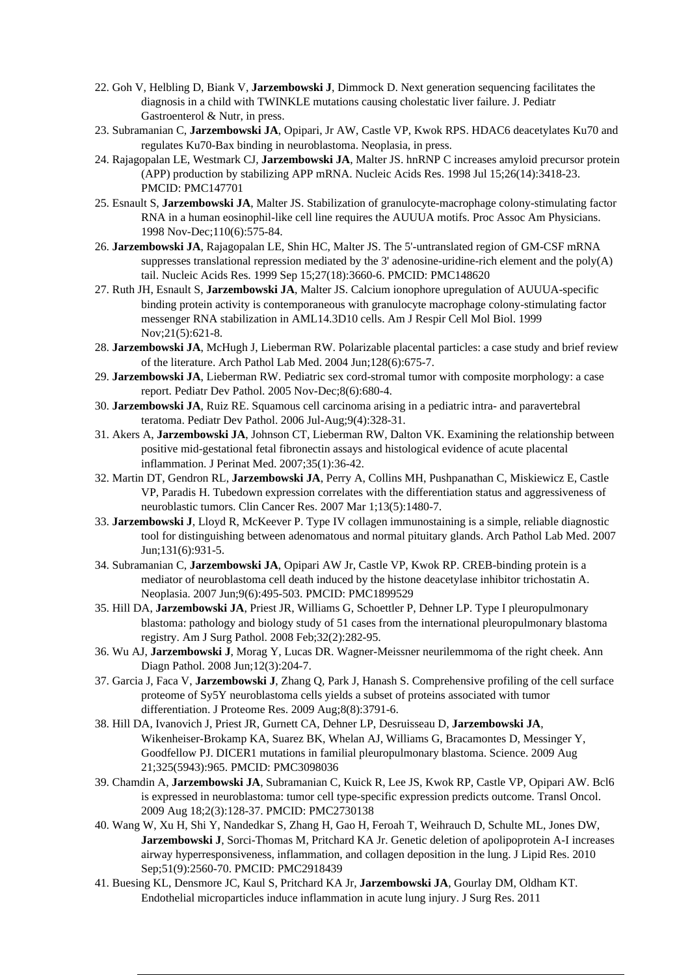- 22. Goh V, Helbling D, Biank V, **Jarzembowski J**, Dimmock D. Next generation sequencing facilitates the diagnosis in a child with TWINKLE mutations causing cholestatic liver failure. J. Pediatr Gastroenterol & Nutr, in press.
- 23. Subramanian C, **Jarzembowski JA**, Opipari, Jr AW, Castle VP, Kwok RPS. HDAC6 deacetylates Ku70 and regulates Ku70-Bax binding in neuroblastoma. Neoplasia, in press.
- 24. Rajagopalan LE, Westmark CJ, **Jarzembowski JA**, Malter JS. hnRNP C increases amyloid precursor protein (APP) production by stabilizing APP mRNA. Nucleic Acids Res. 1998 Jul 15;26(14):3418-23. PMCID: PMC147701
- 25. Esnault S, **Jarzembowski JA**, Malter JS. Stabilization of granulocyte-macrophage colony-stimulating factor RNA in a human eosinophil-like cell line requires the AUUUA motifs. Proc Assoc Am Physicians. 1998 Nov-Dec;110(6):575-84.
- 26. **Jarzembowski JA**, Rajagopalan LE, Shin HC, Malter JS. The 5'-untranslated region of GM-CSF mRNA suppresses translational repression mediated by the 3' adenosine-uridine-rich element and the poly $(A)$ tail. Nucleic Acids Res. 1999 Sep 15;27(18):3660-6. PMCID: PMC148620
- 27. Ruth JH, Esnault S, **Jarzembowski JA**, Malter JS. Calcium ionophore upregulation of AUUUA-specific binding protein activity is contemporaneous with granulocyte macrophage colony-stimulating factor messenger RNA stabilization in AML14.3D10 cells. Am J Respir Cell Mol Biol. 1999 Nov;21(5):621-8.
- 28. **Jarzembowski JA**, McHugh J, Lieberman RW. Polarizable placental particles: a case study and brief review of the literature. Arch Pathol Lab Med. 2004 Jun;128(6):675-7.
- 29. **Jarzembowski JA**, Lieberman RW. Pediatric sex cord-stromal tumor with composite morphology: a case report. Pediatr Dev Pathol. 2005 Nov-Dec;8(6):680-4.
- 30. **Jarzembowski JA**, Ruiz RE. Squamous cell carcinoma arising in a pediatric intra- and paravertebral teratoma. Pediatr Dev Pathol. 2006 Jul-Aug;9(4):328-31.
- 31. Akers A, **Jarzembowski JA**, Johnson CT, Lieberman RW, Dalton VK. Examining the relationship between positive mid-gestational fetal fibronectin assays and histological evidence of acute placental inflammation. J Perinat Med. 2007;35(1):36-42.
- 32. Martin DT, Gendron RL, **Jarzembowski JA**, Perry A, Collins MH, Pushpanathan C, Miskiewicz E, Castle VP, Paradis H. Tubedown expression correlates with the differentiation status and aggressiveness of neuroblastic tumors. Clin Cancer Res. 2007 Mar 1;13(5):1480-7.
- 33. **Jarzembowski J**, Lloyd R, McKeever P. Type IV collagen immunostaining is a simple, reliable diagnostic tool for distinguishing between adenomatous and normal pituitary glands. Arch Pathol Lab Med. 2007 Jun;131(6):931-5.
- 34. Subramanian C, **Jarzembowski JA**, Opipari AW Jr, Castle VP, Kwok RP. CREB-binding protein is a mediator of neuroblastoma cell death induced by the histone deacetylase inhibitor trichostatin A. Neoplasia. 2007 Jun;9(6):495-503. PMCID: PMC1899529
- 35. Hill DA, **Jarzembowski JA**, Priest JR, Williams G, Schoettler P, Dehner LP. Type I pleuropulmonary blastoma: pathology and biology study of 51 cases from the international pleuropulmonary blastoma registry. Am J Surg Pathol. 2008 Feb;32(2):282-95.
- 36. Wu AJ, **Jarzembowski J**, Morag Y, Lucas DR. Wagner-Meissner neurilemmoma of the right cheek. Ann Diagn Pathol. 2008 Jun;12(3):204-7.
- 37. Garcia J, Faca V, **Jarzembowski J**, Zhang Q, Park J, Hanash S. Comprehensive profiling of the cell surface proteome of Sy5Y neuroblastoma cells yields a subset of proteins associated with tumor differentiation. J Proteome Res. 2009 Aug;8(8):3791-6.
- 38. Hill DA, Ivanovich J, Priest JR, Gurnett CA, Dehner LP, Desruisseau D, **Jarzembowski JA**, Wikenheiser-Brokamp KA, Suarez BK, Whelan AJ, Williams G, Bracamontes D, Messinger Y, Goodfellow PJ. DICER1 mutations in familial pleuropulmonary blastoma. Science. 2009 Aug 21;325(5943):965. PMCID: PMC3098036
- 39. Chamdin A, **Jarzembowski JA**, Subramanian C, Kuick R, Lee JS, Kwok RP, Castle VP, Opipari AW. Bcl6 is expressed in neuroblastoma: tumor cell type-specific expression predicts outcome. Transl Oncol. 2009 Aug 18;2(3):128-37. PMCID: PMC2730138
- 40. Wang W, Xu H, Shi Y, Nandedkar S, Zhang H, Gao H, Feroah T, Weihrauch D, Schulte ML, Jones DW, **Jarzembowski J**, Sorci-Thomas M, Pritchard KA Jr. Genetic deletion of apolipoprotein A-I increases airway hyperresponsiveness, inflammation, and collagen deposition in the lung. J Lipid Res. 2010 Sep;51(9):2560-70. PMCID: PMC2918439
- 41. Buesing KL, Densmore JC, Kaul S, Pritchard KA Jr, **Jarzembowski JA**, Gourlay DM, Oldham KT. Endothelial microparticles induce inflammation in acute lung injury. J Surg Res. 2011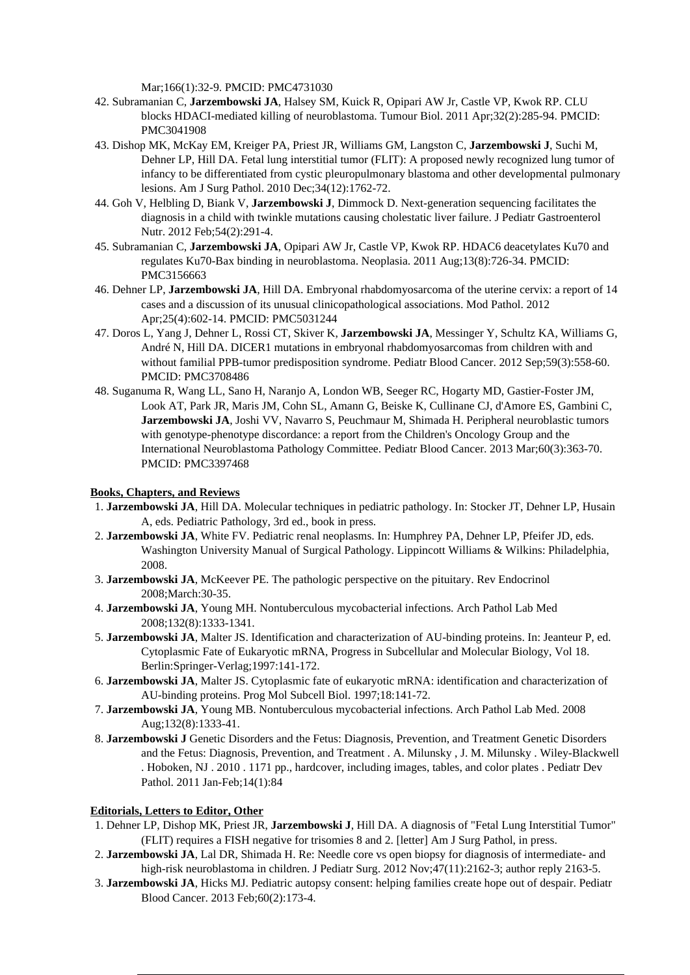Mar;166(1):32-9. PMCID: PMC4731030

- 42. Subramanian C, **Jarzembowski JA**, Halsey SM, Kuick R, Opipari AW Jr, Castle VP, Kwok RP. CLU blocks HDACI-mediated killing of neuroblastoma. Tumour Biol. 2011 Apr;32(2):285-94. PMCID: PMC3041908
- 43. Dishop MK, McKay EM, Kreiger PA, Priest JR, Williams GM, Langston C, **Jarzembowski J**, Suchi M, Dehner LP, Hill DA. Fetal lung interstitial tumor (FLIT): A proposed newly recognized lung tumor of infancy to be differentiated from cystic pleuropulmonary blastoma and other developmental pulmonary lesions. Am J Surg Pathol. 2010 Dec;34(12):1762-72.
- 44. Goh V, Helbling D, Biank V, **Jarzembowski J**, Dimmock D. Next-generation sequencing facilitates the diagnosis in a child with twinkle mutations causing cholestatic liver failure. J Pediatr Gastroenterol Nutr. 2012 Feb;54(2):291-4.
- 45. Subramanian C, **Jarzembowski JA**, Opipari AW Jr, Castle VP, Kwok RP. HDAC6 deacetylates Ku70 and regulates Ku70-Bax binding in neuroblastoma. Neoplasia. 2011 Aug;13(8):726-34. PMCID: PMC3156663
- 46. Dehner LP, **Jarzembowski JA**, Hill DA. Embryonal rhabdomyosarcoma of the uterine cervix: a report of 14 cases and a discussion of its unusual clinicopathological associations. Mod Pathol. 2012 Apr;25(4):602-14. PMCID: PMC5031244
- 47. Doros L, Yang J, Dehner L, Rossi CT, Skiver K, **Jarzembowski JA**, Messinger Y, Schultz KA, Williams G, André N, Hill DA. DICER1 mutations in embryonal rhabdomyosarcomas from children with and without familial PPB-tumor predisposition syndrome. Pediatr Blood Cancer. 2012 Sep;59(3):558-60. PMCID: PMC3708486
- 48. Suganuma R, Wang LL, Sano H, Naranjo A, London WB, Seeger RC, Hogarty MD, Gastier-Foster JM, Look AT, Park JR, Maris JM, Cohn SL, Amann G, Beiske K, Cullinane CJ, d'Amore ES, Gambini C, **Jarzembowski JA**, Joshi VV, Navarro S, Peuchmaur M, Shimada H. Peripheral neuroblastic tumors with genotype-phenotype discordance: a report from the Children's Oncology Group and the International Neuroblastoma Pathology Committee. Pediatr Blood Cancer. 2013 Mar;60(3):363-70. PMCID: PMC3397468

# **Books, Chapters, and Reviews**

- 1. **Jarzembowski JA**, Hill DA. Molecular techniques in pediatric pathology. In: Stocker JT, Dehner LP, Husain A, eds. Pediatric Pathology, 3rd ed., book in press.
- 2. **Jarzembowski JA**, White FV. Pediatric renal neoplasms. In: Humphrey PA, Dehner LP, Pfeifer JD, eds. Washington University Manual of Surgical Pathology. Lippincott Williams & Wilkins: Philadelphia, 2008.
- 3. **Jarzembowski JA**, McKeever PE. The pathologic perspective on the pituitary. Rev Endocrinol 2008;March:30-35.
- 4. **Jarzembowski JA**, Young MH. Nontuberculous mycobacterial infections. Arch Pathol Lab Med 2008;132(8):1333-1341.
- 5. **Jarzembowski JA**, Malter JS. Identification and characterization of AU-binding proteins. In: Jeanteur P, ed. Cytoplasmic Fate of Eukaryotic mRNA, Progress in Subcellular and Molecular Biology, Vol 18. Berlin:Springer-Verlag;1997:141-172.
- 6. **Jarzembowski JA**, Malter JS. Cytoplasmic fate of eukaryotic mRNA: identification and characterization of AU-binding proteins. Prog Mol Subcell Biol. 1997;18:141-72.
- 7. **Jarzembowski JA**, Young MB. Nontuberculous mycobacterial infections. Arch Pathol Lab Med. 2008 Aug;132(8):1333-41.
- 8. **Jarzembowski J** Genetic Disorders and the Fetus: Diagnosis, Prevention, and Treatment Genetic Disorders and the Fetus: Diagnosis, Prevention, and Treatment . A. Milunsky , J. M. Milunsky . Wiley-Blackwell . Hoboken, NJ . 2010 . 1171 pp., hardcover, including images, tables, and color plates . Pediatr Dev Pathol. 2011 Jan-Feb;14(1):84

#### **Editorials, Letters to Editor, Other**

- 1. Dehner LP, Dishop MK, Priest JR, **Jarzembowski J**, Hill DA. A diagnosis of "Fetal Lung Interstitial Tumor" (FLIT) requires a FISH negative for trisomies 8 and 2. [letter] Am J Surg Pathol, in press.
- 2. **Jarzembowski JA**, Lal DR, Shimada H. Re: Needle core vs open biopsy for diagnosis of intermediate- and high-risk neuroblastoma in children. J Pediatr Surg. 2012 Nov; 47(11): 2162-3; author reply 2163-5.
- 3. **Jarzembowski JA**, Hicks MJ. Pediatric autopsy consent: helping families create hope out of despair. Pediatr Blood Cancer. 2013 Feb;60(2):173-4.